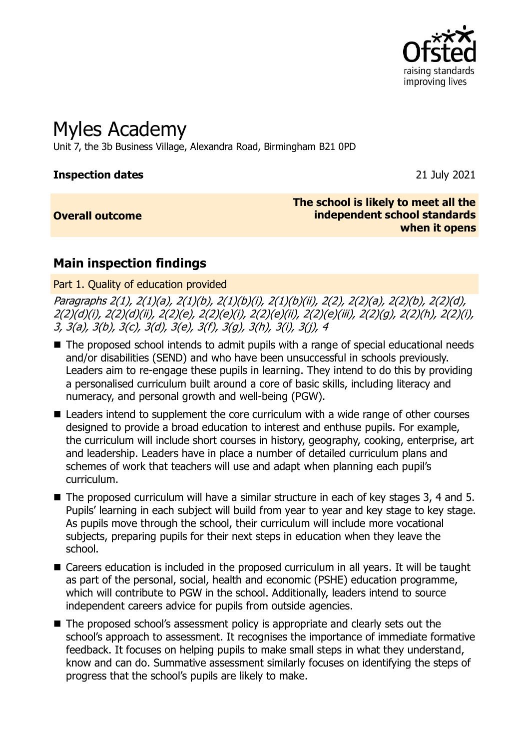

# Myles Academy

Unit 7, the 3b Business Village, Alexandra Road, Birmingham B21 0PD

#### **Inspection dates** 21 July 2021

#### **Overall outcome**

**The school is likely to meet all the independent school standards when it opens**

## **Main inspection findings**

Part 1. Quality of education provided

Paragraphs 2(1), 2(1)(a), 2(1)(b), 2(1)(b)(i), 2(1)(b)(ii), 2(2), 2(2)(a), 2(2)(b), 2(2)(d), 2(2)(d)(i), 2(2)(d)(ii), 2(2)(e), 2(2)(e)(i), 2(2)(e)(ii), 2(2)(e)(iii), 2(2)(g), 2(2)(h), 2(2)(i), 3, 3(a), 3(b), 3(c), 3(d), 3(e), 3(f), 3(g), 3(h), 3(i), 3(j), 4

- The proposed school intends to admit pupils with a range of special educational needs and/or disabilities (SEND) and who have been unsuccessful in schools previously. Leaders aim to re-engage these pupils in learning. They intend to do this by providing a personalised curriculum built around a core of basic skills, including literacy and numeracy, and personal growth and well-being (PGW).
- Leaders intend to supplement the core curriculum with a wide range of other courses designed to provide a broad education to interest and enthuse pupils. For example, the curriculum will include short courses in history, geography, cooking, enterprise, art and leadership. Leaders have in place a number of detailed curriculum plans and schemes of work that teachers will use and adapt when planning each pupil's curriculum.
- The proposed curriculum will have a similar structure in each of key stages 3, 4 and 5. Pupils' learning in each subject will build from year to year and key stage to key stage. As pupils move through the school, their curriculum will include more vocational subjects, preparing pupils for their next steps in education when they leave the school.
- Careers education is included in the proposed curriculum in all years. It will be taught as part of the personal, social, health and economic (PSHE) education programme, which will contribute to PGW in the school. Additionally, leaders intend to source independent careers advice for pupils from outside agencies.
- The proposed school's assessment policy is appropriate and clearly sets out the school's approach to assessment. It recognises the importance of immediate formative feedback. It focuses on helping pupils to make small steps in what they understand, know and can do. Summative assessment similarly focuses on identifying the steps of progress that the school's pupils are likely to make.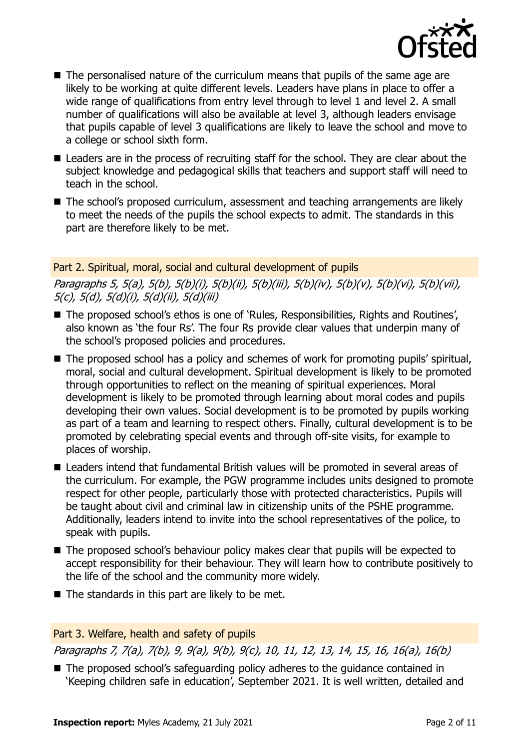

- The personalised nature of the curriculum means that pupils of the same age are likely to be working at quite different levels. Leaders have plans in place to offer a wide range of qualifications from entry level through to level 1 and level 2. A small number of qualifications will also be available at level 3, although leaders envisage that pupils capable of level 3 qualifications are likely to leave the school and move to a college or school sixth form.
- Leaders are in the process of recruiting staff for the school. They are clear about the subject knowledge and pedagogical skills that teachers and support staff will need to teach in the school.
- The school's proposed curriculum, assessment and teaching arrangements are likely to meet the needs of the pupils the school expects to admit. The standards in this part are therefore likely to be met.

Part 2. Spiritual, moral, social and cultural development of pupils Paragraphs 5, 5(a), 5(b), 5(b)(i), 5(b)(ii), 5(b)(iii), 5(b)(iv), 5(b)(v), 5(b)(vi), 5(b)(vii), 5(c), 5(d), 5(d)(i), 5(d)(ii), 5(d)(iii)

- The proposed school's ethos is one of 'Rules, Responsibilities, Rights and Routines', also known as 'the four Rs'. The four Rs provide clear values that underpin many of the school's proposed policies and procedures.
- The proposed school has a policy and schemes of work for promoting pupils' spiritual, moral, social and cultural development. Spiritual development is likely to be promoted through opportunities to reflect on the meaning of spiritual experiences. Moral development is likely to be promoted through learning about moral codes and pupils developing their own values. Social development is to be promoted by pupils working as part of a team and learning to respect others. Finally, cultural development is to be promoted by celebrating special events and through off-site visits, for example to places of worship.
- Leaders intend that fundamental British values will be promoted in several areas of the curriculum. For example, the PGW programme includes units designed to promote respect for other people, particularly those with protected characteristics. Pupils will be taught about civil and criminal law in citizenship units of the PSHE programme. Additionally, leaders intend to invite into the school representatives of the police, to speak with pupils.
- The proposed school's behaviour policy makes clear that pupils will be expected to accept responsibility for their behaviour. They will learn how to contribute positively to the life of the school and the community more widely.
- The standards in this part are likely to be met.

#### Part 3. Welfare, health and safety of pupils

Paragraphs 7, 7(a), 7(b), 9, 9(a), 9(b), 9(c), 10, 11, 12, 13, 14, 15, 16, 16(a), 16(b)

■ The proposed school's safeguarding policy adheres to the guidance contained in 'Keeping children safe in education', September 2021. It is well written, detailed and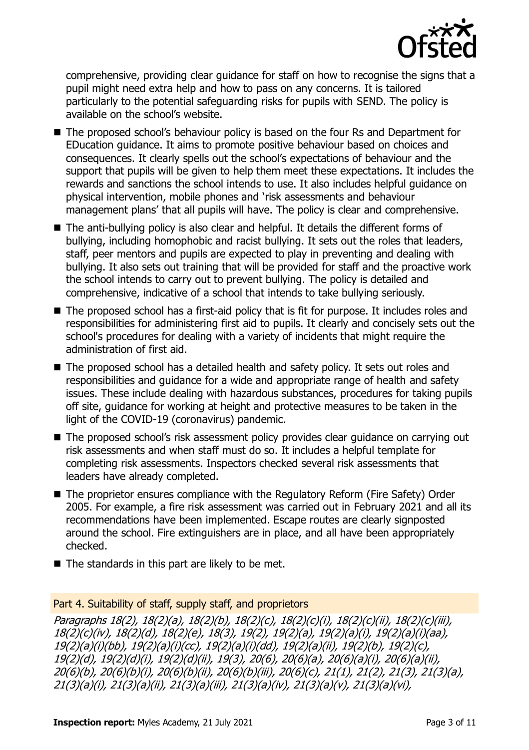

comprehensive, providing clear guidance for staff on how to recognise the signs that a pupil might need extra help and how to pass on any concerns. It is tailored particularly to the potential safeguarding risks for pupils with SEND. The policy is available on the school's website.

- The proposed school's behaviour policy is based on the four Rs and Department for EDucation guidance. It aims to promote positive behaviour based on choices and consequences. It clearly spells out the school's expectations of behaviour and the support that pupils will be given to help them meet these expectations. It includes the rewards and sanctions the school intends to use. It also includes helpful guidance on physical intervention, mobile phones and 'risk assessments and behaviour management plans' that all pupils will have. The policy is clear and comprehensive.
- The anti-bullying policy is also clear and helpful. It details the different forms of bullying, including homophobic and racist bullying. It sets out the roles that leaders, staff, peer mentors and pupils are expected to play in preventing and dealing with bullying. It also sets out training that will be provided for staff and the proactive work the school intends to carry out to prevent bullying. The policy is detailed and comprehensive, indicative of a school that intends to take bullying seriously.
- The proposed school has a first-aid policy that is fit for purpose. It includes roles and responsibilities for administering first aid to pupils. It clearly and concisely sets out the school's procedures for dealing with a variety of incidents that might require the administration of first aid.
- The proposed school has a detailed health and safety policy. It sets out roles and responsibilities and guidance for a wide and appropriate range of health and safety issues. These include dealing with hazardous substances, procedures for taking pupils off site, guidance for working at height and protective measures to be taken in the light of the COVID-19 (coronavirus) pandemic.
- The proposed school's risk assessment policy provides clear quidance on carrying out risk assessments and when staff must do so. It includes a helpful template for completing risk assessments. Inspectors checked several risk assessments that leaders have already completed.
- The proprietor ensures compliance with the Regulatory Reform (Fire Safety) Order 2005. For example, a fire risk assessment was carried out in February 2021 and all its recommendations have been implemented. Escape routes are clearly signposted around the school. Fire extinguishers are in place, and all have been appropriately checked.
- The standards in this part are likely to be met.

#### Part 4. Suitability of staff, supply staff, and proprietors

Paragraphs 18(2), 18(2)(a), 18(2)(b), 18(2)(c), 18(2)(c)(i), 18(2)(c)(ii), 18(2)(c)(iii), 18(2)(c)(iv), 18(2)(d), 18(2)(e), 18(3), 19(2), 19(2)(a), 19(2)(a)(i), 19(2)(a)(i)(aa), 19(2)(a)(i)(bb), 19(2)(a)(i)(cc), 19(2)(a)(i)(dd), 19(2)(a)(ii), 19(2)(b), 19(2)(c), 19(2)(d), 19(2)(d)(i), 19(2)(d)(ii), 19(3), 20(6), 20(6)(a), 20(6)(a)(i), 20(6)(a)(ii), 20(6)(b), 20(6)(b)(i), 20(6)(b)(ii), 20(6)(b)(iii), 20(6)(c), 21(1), 21(2), 21(3), 21(3)(a), 21(3)(a)(i), 21(3)(a)(ii), 21(3)(a)(iii), 21(3)(a)(iv), 21(3)(a)(v), 21(3)(a)(vi),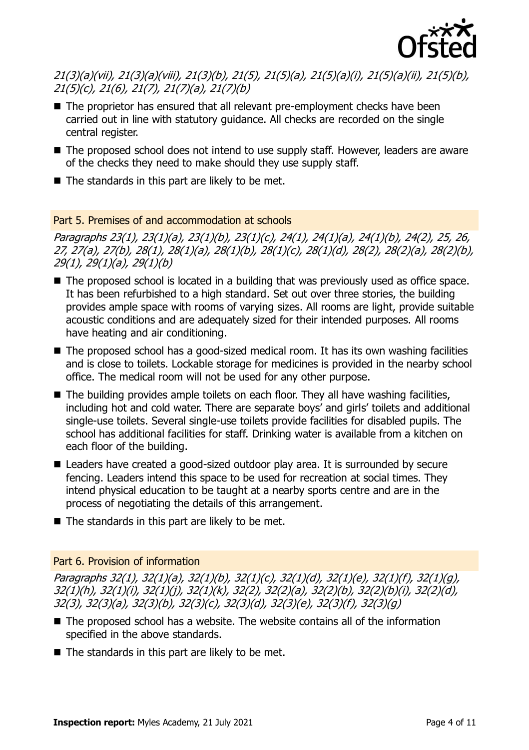

21(3)(a)(vii), 21(3)(a)(viii), 21(3)(b), 21(5), 21(5)(a), 21(5)(a)(i), 21(5)(a)(ii), 21(5)(b), 21(5)(c), 21(6), 21(7), 21(7)(a), 21(7)(b)

- The proprietor has ensured that all relevant pre-employment checks have been carried out in line with statutory guidance. All checks are recorded on the single central register.
- The proposed school does not intend to use supply staff. However, leaders are aware of the checks they need to make should they use supply staff.
- The standards in this part are likely to be met.

## Part 5. Premises of and accommodation at schools

Paragraphs 23(1), 23(1)(a), 23(1)(b), 23(1)(c), 24(1), 24(1)(a), 24(1)(b), 24(2), 25, 26, 27, 27(a), 27(b), 28(1), 28(1)(a), 28(1)(b), 28(1)(c), 28(1)(d), 28(2), 28(2)(a), 28(2)(b), 29(1), 29(1)(a), 29(1)(b)

- The proposed school is located in a building that was previously used as office space. It has been refurbished to a high standard. Set out over three stories, the building provides ample space with rooms of varying sizes. All rooms are light, provide suitable acoustic conditions and are adequately sized for their intended purposes. All rooms have heating and air conditioning.
- The proposed school has a good-sized medical room. It has its own washing facilities and is close to toilets. Lockable storage for medicines is provided in the nearby school office. The medical room will not be used for any other purpose.
- The building provides ample toilets on each floor. They all have washing facilities, including hot and cold water. There are separate boys' and girls' toilets and additional single-use toilets. Several single-use toilets provide facilities for disabled pupils. The school has additional facilities for staff. Drinking water is available from a kitchen on each floor of the building.
- Leaders have created a good-sized outdoor play area. It is surrounded by secure fencing. Leaders intend this space to be used for recreation at social times. They intend physical education to be taught at a nearby sports centre and are in the process of negotiating the details of this arrangement.
- $\blacksquare$  The standards in this part are likely to be met.

#### Part 6. Provision of information

Paragraphs 32(1), 32(1)(a), 32(1)(b), 32(1)(c), 32(1)(d), 32(1)(e), 32(1)(f), 32(1)(g), 32(1)(h), 32(1)(i), 32(1)(j), 32(1)(k), 32(2), 32(2)(a), 32(2)(b), 32(2)(b)(i), 32(2)(d), 32(3), 32(3)(a), 32(3)(b), 32(3)(c), 32(3)(d), 32(3)(e), 32(3)(f), 32(3)(g)

- The proposed school has a website. The website contains all of the information specified in the above standards.
- $\blacksquare$  The standards in this part are likely to be met.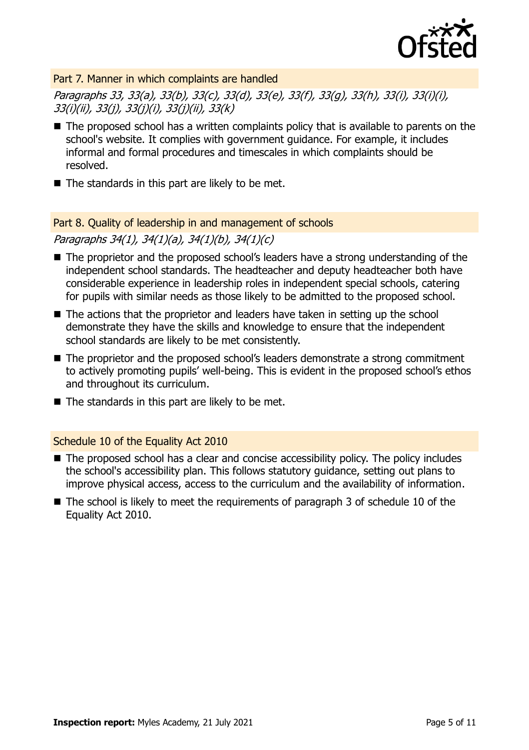

Part 7. Manner in which complaints are handled

Paragraphs 33, 33(a), 33(b), 33(c), 33(d), 33(e), 33(f), 33(g), 33(h), 33(i), 33(i)(i), 33(i)(ii), 33(j), 33(j)(i), 33(j)(ii), 33(k)

- The proposed school has a written complaints policy that is available to parents on the school's website. It complies with government guidance. For example, it includes informal and formal procedures and timescales in which complaints should be resolved.
- The standards in this part are likely to be met.

#### Part 8. Quality of leadership in and management of schools

Paragraphs 34(1), 34(1)(a), 34(1)(b), 34(1)(c)

- The proprietor and the proposed school's leaders have a strong understanding of the independent school standards. The headteacher and deputy headteacher both have considerable experience in leadership roles in independent special schools, catering for pupils with similar needs as those likely to be admitted to the proposed school.
- The actions that the proprietor and leaders have taken in setting up the school demonstrate they have the skills and knowledge to ensure that the independent school standards are likely to be met consistently.
- The proprietor and the proposed school's leaders demonstrate a strong commitment to actively promoting pupils' well-being. This is evident in the proposed school's ethos and throughout its curriculum.
- $\blacksquare$  The standards in this part are likely to be met.

## Schedule 10 of the Equality Act 2010

- The proposed school has a clear and concise accessibility policy. The policy includes the school's accessibility plan. This follows statutory guidance, setting out plans to improve physical access, access to the curriculum and the availability of information.
- $\blacksquare$  The school is likely to meet the requirements of paragraph 3 of schedule 10 of the Equality Act 2010.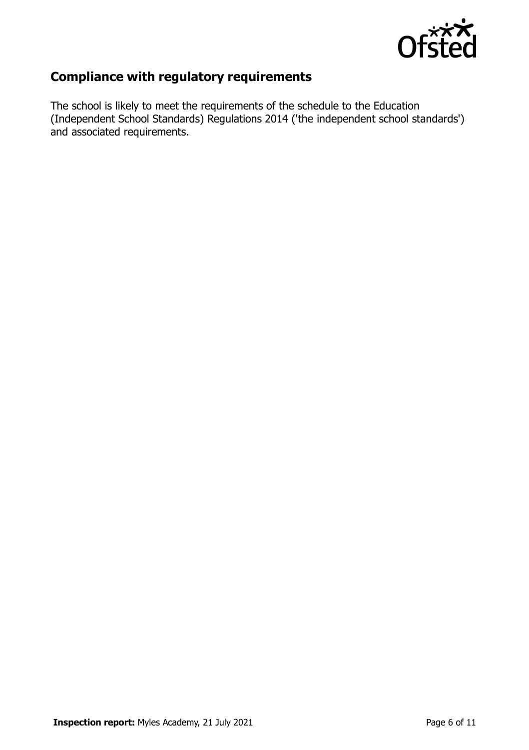

# **Compliance with regulatory requirements**

The school is likely to meet the requirements of the schedule to the Education (Independent School Standards) Regulations 2014 ('the independent school standards') and associated requirements.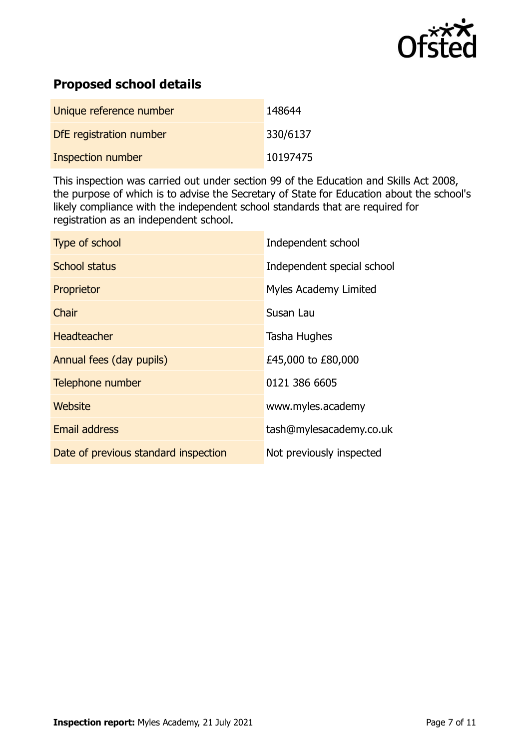

# **Proposed school details**

| Unique reference number  | 148644   |
|--------------------------|----------|
| DfE registration number  | 330/6137 |
| <b>Inspection number</b> | 10197475 |

This inspection was carried out under section 99 of the Education and Skills Act 2008, the purpose of which is to advise the Secretary of State for Education about the school's likely compliance with the independent school standards that are required for registration as an independent school.

| Type of school                       | Independent school         |
|--------------------------------------|----------------------------|
| School status                        | Independent special school |
| Proprietor                           | Myles Academy Limited      |
| Chair                                | Susan Lau                  |
| Headteacher                          | Tasha Hughes               |
| Annual fees (day pupils)             | £45,000 to £80,000         |
| Telephone number                     | 0121 386 6605              |
| Website                              | www.myles.academy          |
| <b>Email address</b>                 | tash@mylesacademy.co.uk    |
| Date of previous standard inspection | Not previously inspected   |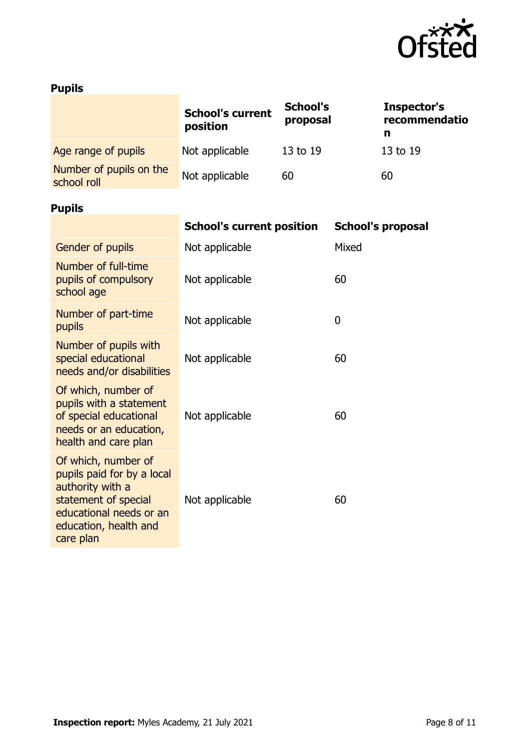

# **Pupils**

|                                                                                                                                                                | <b>School's current</b><br>position | <b>School's</b><br>proposal |       | Inspector's<br>recommendatio<br>n |
|----------------------------------------------------------------------------------------------------------------------------------------------------------------|-------------------------------------|-----------------------------|-------|-----------------------------------|
| Age range of pupils                                                                                                                                            | Not applicable                      | 13 to 19                    |       | 13 to 19                          |
| Number of pupils on the<br>school roll                                                                                                                         | Not applicable                      | 60                          |       | 60                                |
| <b>Pupils</b>                                                                                                                                                  |                                     |                             |       |                                   |
|                                                                                                                                                                | <b>School's current position</b>    |                             |       | <b>School's proposal</b>          |
| <b>Gender of pupils</b>                                                                                                                                        | Not applicable                      |                             | Mixed |                                   |
| Number of full-time<br>pupils of compulsory<br>school age                                                                                                      | Not applicable                      |                             | 60    |                                   |
| Number of part-time<br>pupils                                                                                                                                  | Not applicable                      |                             | 0     |                                   |
| Number of pupils with<br>special educational<br>needs and/or disabilities                                                                                      | Not applicable                      |                             | 60    |                                   |
| Of which, number of<br>pupils with a statement<br>of special educational<br>needs or an education,<br>health and care plan                                     | Not applicable                      |                             | 60    |                                   |
| Of which, number of<br>pupils paid for by a local<br>authority with a<br>statement of special<br>educational needs or an<br>education, health and<br>care plan | Not applicable                      |                             | 60    |                                   |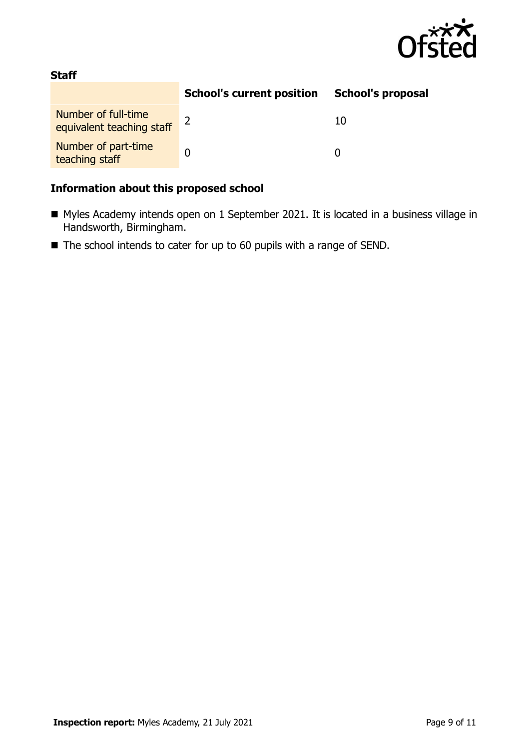

## **Staff**

|                                                  | <b>School's current position</b> | <b>School's proposal</b> |
|--------------------------------------------------|----------------------------------|--------------------------|
| Number of full-time<br>equivalent teaching staff |                                  | 10                       |
| Number of part-time<br>teaching staff            |                                  |                          |

## **Information about this proposed school**

- Myles Academy intends open on 1 September 2021. It is located in a business village in Handsworth, Birmingham.
- The school intends to cater for up to 60 pupils with a range of SEND.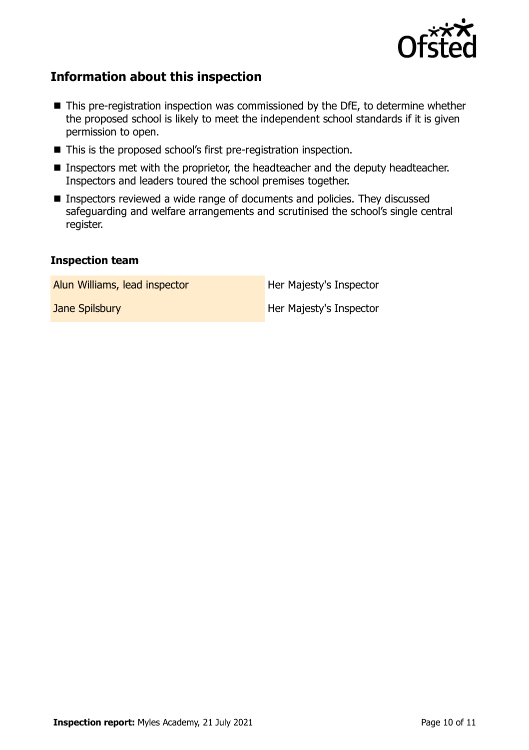

# **Information about this inspection**

- This pre-registration inspection was commissioned by the DfE, to determine whether the proposed school is likely to meet the independent school standards if it is given permission to open.
- This is the proposed school's first pre-registration inspection.
- Inspectors met with the proprietor, the headteacher and the deputy headteacher. Inspectors and leaders toured the school premises together.
- Inspectors reviewed a wide range of documents and policies. They discussed safeguarding and welfare arrangements and scrutinised the school's single central register.

#### **Inspection team**

| Alun Williams, lead inspector | Her Majesty's Inspector |
|-------------------------------|-------------------------|
|                               |                         |

**Jane Spilsbury Her Majesty's Inspector**